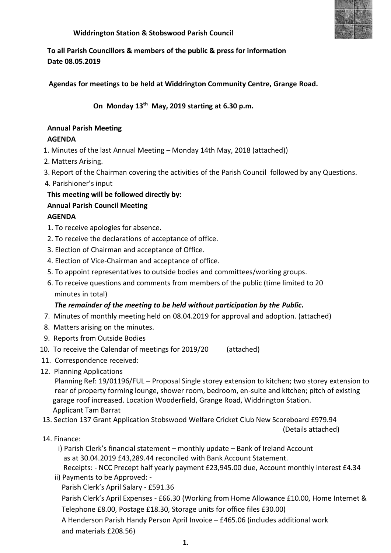

#### **Widdrington Station & Stobswood Parish Council**

**To all Parish Councillors & members of the public & press for information Date 08.05.2019**

 **Agendas for meetings to be held at Widdrington Community Centre, Grange Road.** 

## **On Monday 13 th May, 2019 starting at 6.30 p.m.**

## **Annual Parish Meeting**

### **AGENDA**

- 1. Minutes of the last Annual Meeting Monday 14th May, 2018 (attached))
- 2. Matters Arising.
- 3. Report of the Chairman covering the activities of the Parish Council followed by any Questions.
- 4. Parishioner's input

**This meeting will be followed directly by:**

## **Annual Parish Council Meeting**

## **AGENDA**

- 1. To receive apologies for absence.
- 2. To receive the declarations of acceptance of office.
- 3. Election of Chairman and acceptance of Office.
- 4. Election of Vice-Chairman and acceptance of office.
- 5. To appoint representatives to outside bodies and committees/working groups.
- 6. To receive questions and comments from members of the public (time limited to 20 minutes in total)

### *The remainder of the meeting to be held without participation by the Public.*

- 7. Minutes of monthly meeting held on 08.04.2019 for approval and adoption. (attached)
- 8. Matters arising on the minutes.
- 9. Reports from Outside Bodies
- 10. To receive the Calendar of meetings for 2019/20 (attached)
- 11. Correspondence received:
- 12. Planning Applications

 Planning Ref: 19/01196/FUL – Proposal Single storey extension to kitchen; two storey extension to rear of property forming lounge, shower room, bedroom, en-suite and kitchen; pitch of existing garage roof increased. Location Wooderfield, Grange Road, Widdrington Station. Applicant Tam Barrat

13. Section 137 Grant Application Stobswood Welfare Cricket Club New Scoreboard £979.94

(Details attached)

### 14. Finance:

- i) Parish Clerk's financial statement monthly update Bank of Ireland Account as at 30.04.2019 £43,289.44 reconciled with Bank Account Statement. Receipts: - NCC Precept half yearly payment £23,945.00 due, Account monthly interest £4.34
- ii) Payments to be Approved: Parish Clerk's April Salary - £591.36

 Parish Clerk's April Expenses - £66.30 (Working from Home Allowance £10.00, Home Internet & Telephone £8.00, Postage £18.30, Storage units for office files £30.00)

 A Henderson Parish Handy Person April Invoice – £465.06 (includes additional work and materials £208.56)